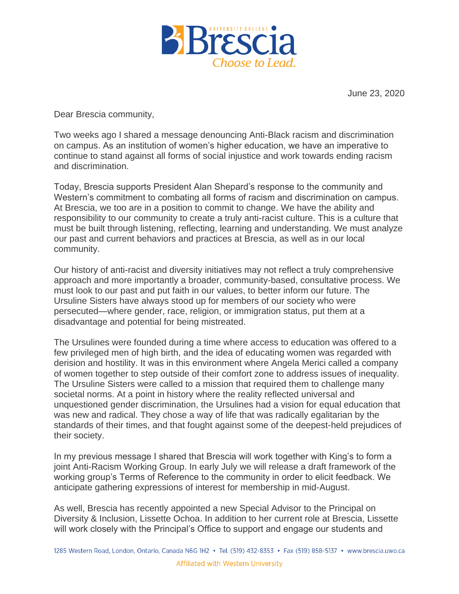

**June 23, 2020**

**Dear Brescia community,**

**Two weeks ago I shared a message denouncing Anti-Black racism and discrimination on campus. As an institution of women's higher education, we have an imperative to continue to stand against all forms of social injustice and work towards ending racism and discrimination.**

**Today, Brescia supports President Alan Shepard's response to the community and Western's commitment to combating all forms of racism and discrimination on campus. At Brescia, we too are in a position to commit to change. We have the ability and responsibility to our community to create a truly anti-racist culture. This is a culture that must be built through listening, reflecting, learning and understanding. We must analyze our past and current behaviors and practices at Brescia, as well as in our local community.**

**Our history of anti-racist and diversity initiatives may not reflect a truly comprehensive approach and more importantly a broader, community-based, consultative process. We must look to our past and put faith in our values, to better inform our future. The Ursuline Sisters have always stood up for members of our society who were persecuted—where gender, race, religion, or immigration status, put them at a disadvantage and potential for being mistreated.**

**The Ursulines were founded during a time where access to education was offered to a few privileged men of high birth, and the idea of educating women was regarded with derision and hostility. It was in this environment where Angela Merici called a company of women together to step outside of their comfort zone to address issues of inequality. The Ursuline Sisters were called to a mission that required them to challenge many societal norms. At a point in history where the reality reflected universal and unquestioned gender discrimination, the Ursulines had a vision for equal education that was new and radical. They chose a way of life that was radically egalitarian by the standards of their times, and that fought against some of the deepest-held prejudices of their society.**

**In my previous message I shared that Brescia will work together with King's to form a joint Anti-Racism Working Group. In early July we will release a draft framework of the working group's Terms of Reference to the community in order to elicit feedback. We anticipate gathering expressions of interest for membership in mid-August.**

**As well, Brescia has recently appointed a new Special Advisor to the Principal on Diversity & Inclusion, Lissette Ochoa. In addition to her current role at Brescia, Lissette will work closely with the Principal's Office to support and engage our students and**